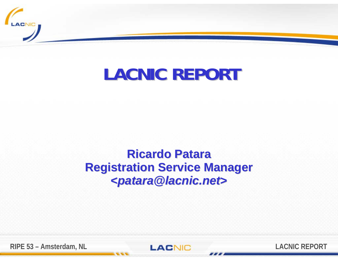

# **LACNIC REPORT LACNIC REPORT**

## **Ricardo Patara Ricardo PataraRegistration Service Manager Registration Service Manager <sup>&</sup>lt;***patara@lacnic.net patara@lacnic.net***<sup>&</sup>gt;**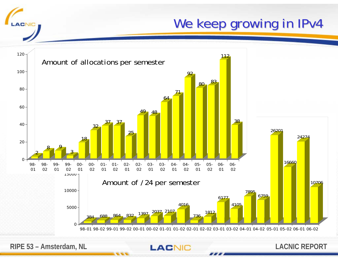We keep growing in IPv4



**RIPE 53 – Amsterdam, NL**<br> **LACNIC REPORT** 

**ACNIC**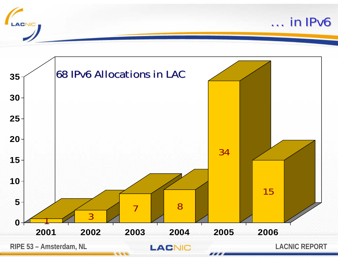

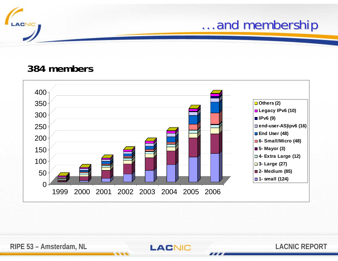

## ...and membership

#### **384 members**

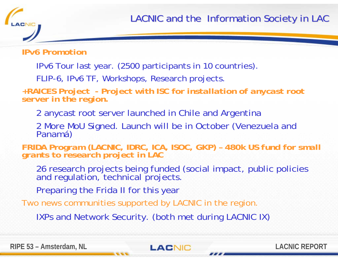*IPv6 Promotion*

**ACNIC** 

IPv6 Tour last year. (2500 participants in 10 countries).

FLIP-6, IPv6 TF, Workshops, Research projects.

*+RAICES Project - Project with ISC for installation of anycast root server in the region.*

2 anycast root server launched in Chile and Argentina

2 More MoU Signed. Launch will be in October (Venezuela and Panamá)

*FRIDA Program (LACNIC, IDRC, ICA, ISOC, GKP)* - 480k US fund for small grants to research project in LAC

26 research projects being funded (social impact, public policies and regulation, technical projects.

Preparing the Frida II for this year

Two news communities supported by LACNIC in the region.

IXPs and Network Security. (both met during LACNIC IX)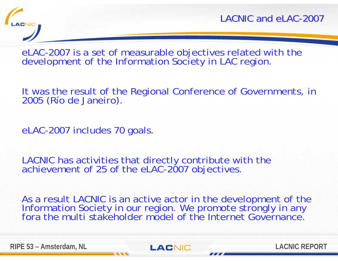

LACNIC and eLAC -2007

eLAC-2007 is a set of measurable objectives related with the development of the Information Society in LAC region.

It was the result of the Regional Conference of Governments, in 2005 (Río de Janeiro).

eLAC-2007 includes 70 goals.

LACNIC has activities that directly contribute with the achievement of 25 of the eLAC-2007 objectives.

As a result LACNIC is an active actor in the development of the<br>Information Society in our region. We promote strongly in any<br>fora the multi stakeholder model of the Internet Governance.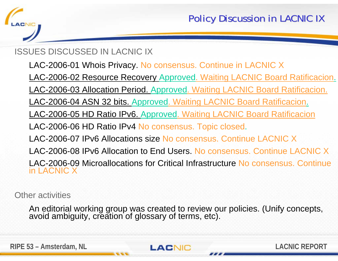

#### ISSUES DISCUSSED IN LACNIC IX

- LAC-2006-01 Whois Privacy. No consensus. Continue in LACNIC X
- LAC-2006-02 Resource Recovery Approved. Waiting LACNIC Board Ratificacion.
- LAC-2006-03 Allocation Period. Approved. Waiting LACNIC Board Ratificacion.
- LAC-2006-04 ASN 32 bits. Approved. Waiting LACNIC Board Ratificacion.
- LAC-2006-05 HD Ratio IPv6. Approved. Waiting LACNIC Board Ratificacion
- LAC-2006-06 HD Ratio IPv4 No consensus. Topic closed.
- LAC-2006-07 IPv6 Allocations size No consensus. Continue LACNIC X
- LAC-2006-08 IPv6 Allocation to End Users. No consensus. Continue LACNIC X
- LAC-2006-09 Microallocations for Critical Infrastructure No consensus. Continue in LACNIC X

Other activities

An editorial working group was created to review our policies. (Unify concepts, avoid ambiguity, creation of glossary of terms, etc).

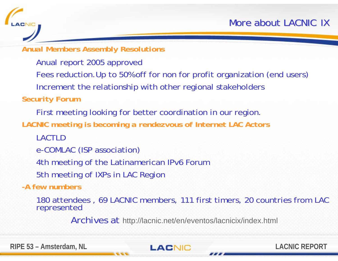#### *Anual Members Assembly Resolutions*

Anual report 2005 approved

Fees reduction.Up to 50% off for non for profit organization (end users)

Increment the relationship with other regional stakeholders

*Security Forum*

ACNIC

First meeting looking for better coordination in our region.

*LACNIC meeting is becoming a rendezvous of Internet LAC Actors*

LACTLD

e-COMLAC (ISP association)

4th meeting of the Latinamerican IPv6 Forum

5th meeting of IXPs in LAC Region

*-A few numbers*

180 attendees , 69 LACNIC members, 111 first timers, 20 countries from LAC represented

Archives at http://lacnic.net/en/eventos/lacnicix/index.html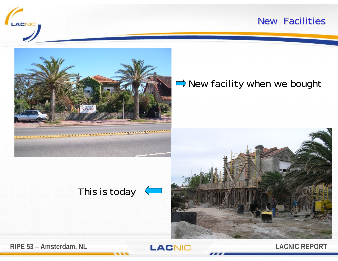#### New Facilities





### New facility when we bought





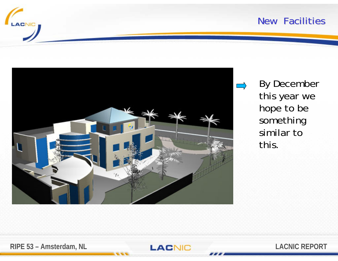

#### New Facilities



By December this year we hope to be something similar to this.